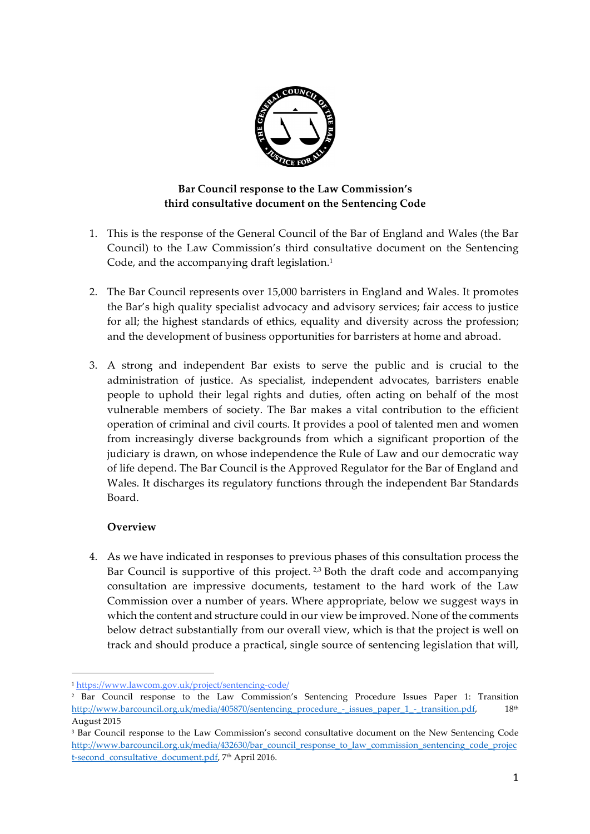

# **Bar Council response to the Law Commission's third consultative document on the Sentencing Code**

- 1. This is the response of the General Council of the Bar of England and Wales (the Bar Council) to the Law Commission's third consultative document on the Sentencing Code, and the accompanying draft legislation. 1
- 2. The Bar Council represents over 15,000 barristers in England and Wales. It promotes the Bar's high quality specialist advocacy and advisory services; fair access to justice for all; the highest standards of ethics, equality and diversity across the profession; and the development of business opportunities for barristers at home and abroad.
- 3. A strong and independent Bar exists to serve the public and is crucial to the administration of justice. As specialist, independent advocates, barristers enable people to uphold their legal rights and duties, often acting on behalf of the most vulnerable members of society. The Bar makes a vital contribution to the efficient operation of criminal and civil courts. It provides a pool of talented men and women from increasingly diverse backgrounds from which a significant proportion of the judiciary is drawn, on whose independence the Rule of Law and our democratic way of life depend. The Bar Council is the Approved Regulator for the Bar of England and Wales. It discharges its regulatory functions through the independent Bar Standards Board.

## **Overview**

4. As we have indicated in responses to previous phases of this consultation process the Bar Council is supportive of this project.<sup>2,3</sup> Both the draft code and accompanying consultation are impressive documents, testament to the hard work of the Law Commission over a number of years. Where appropriate, below we suggest ways in which the content and structure could in our view be improved. None of the comments below detract substantially from our overall view, which is that the project is well on track and should produce a practical, single source of sentencing legislation that will,

<sup>1</sup> https://www.lawcom.gov.uk/project/sentencing-code/

<sup>2</sup> Bar Council response to the Law Commission's Sentencing Procedure Issues Paper 1: Transition http://www.barcouncil.org.uk/media/405870/sentencing\_procedure\_-\_issues\_paper\_1\_-\_transition.pdf, 18<sup>th</sup> August 2015

<sup>&</sup>lt;sup>3</sup> Bar Council response to the Law Commission's second consultative document on the New Sentencing Code http://www.barcouncil.org.uk/media/432630/bar\_council\_response\_to\_law\_commission\_sentencing\_code\_projec t-second\_consultative\_document.pdf, 7<sup>th</sup> April 2016.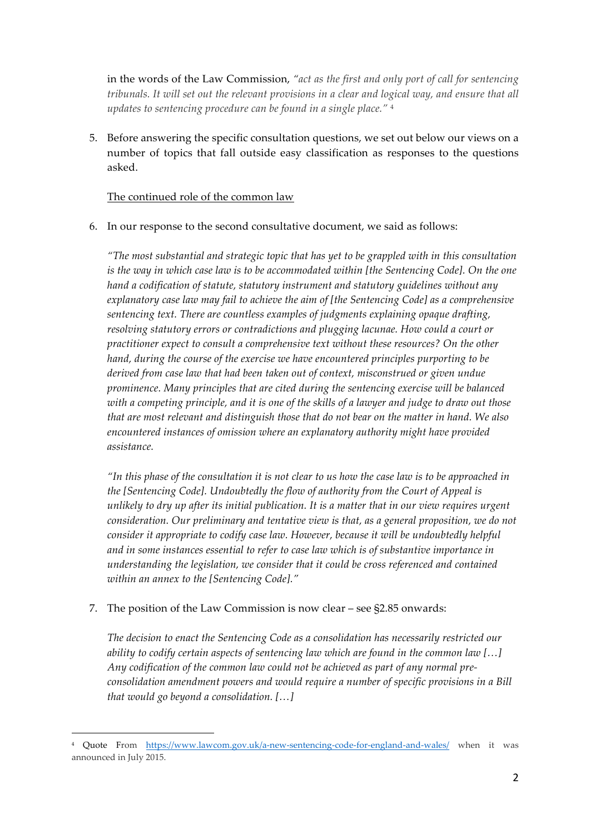in the words of the Law Commission, *"act as the first and only port of call for sentencing tribunals. It will set out the relevant provisions in a clear and logical way, and ensure that all updates to sentencing procedure can be found in a single place."* <sup>4</sup>

5. Before answering the specific consultation questions, we set out below our views on a number of topics that fall outside easy classification as responses to the questions asked.

### The continued role of the common law

6. In our response to the second consultative document, we said as follows:

*"The most substantial and strategic topic that has yet to be grappled with in this consultation is the way in which case law is to be accommodated within [the Sentencing Code]. On the one hand a codification of statute, statutory instrument and statutory guidelines without any explanatory case law may fail to achieve the aim of [the Sentencing Code] as a comprehensive sentencing text. There are countless examples of judgments explaining opaque drafting, resolving statutory errors or contradictions and plugging lacunae. How could a court or practitioner expect to consult a comprehensive text without these resources? On the other hand, during the course of the exercise we have encountered principles purporting to be derived from case law that had been taken out of context, misconstrued or given undue prominence. Many principles that are cited during the sentencing exercise will be balanced with a competing principle, and it is one of the skills of a lawyer and judge to draw out those that are most relevant and distinguish those that do not bear on the matter in hand. We also encountered instances of omission where an explanatory authority might have provided assistance.* 

*"In this phase of the consultation it is not clear to us how the case law is to be approached in the [Sentencing Code]. Undoubtedly the flow of authority from the Court of Appeal is unlikely to dry up after its initial publication. It is a matter that in our view requires urgent consideration. Our preliminary and tentative view is that, as a general proposition, we do not consider it appropriate to codify case law. However, because it will be undoubtedly helpful and in some instances essential to refer to case law which is of substantive importance in understanding the legislation, we consider that it could be cross referenced and contained within an annex to the [Sentencing Code]."*

7. The position of the Law Commission is now clear – see §2.85 onwards:

 

*The decision to enact the Sentencing Code as a consolidation has necessarily restricted our ability to codify certain aspects of sentencing law which are found in the common law […] Any codification of the common law could not be achieved as part of any normal preconsolidation amendment powers and would require a number of specific provisions in a Bill that would go beyond a consolidation. […]*

<sup>4</sup> Quote From https://www.lawcom.gov.uk/a-new-sentencing-code-for-england-and-wales/ when it was announced in July 2015.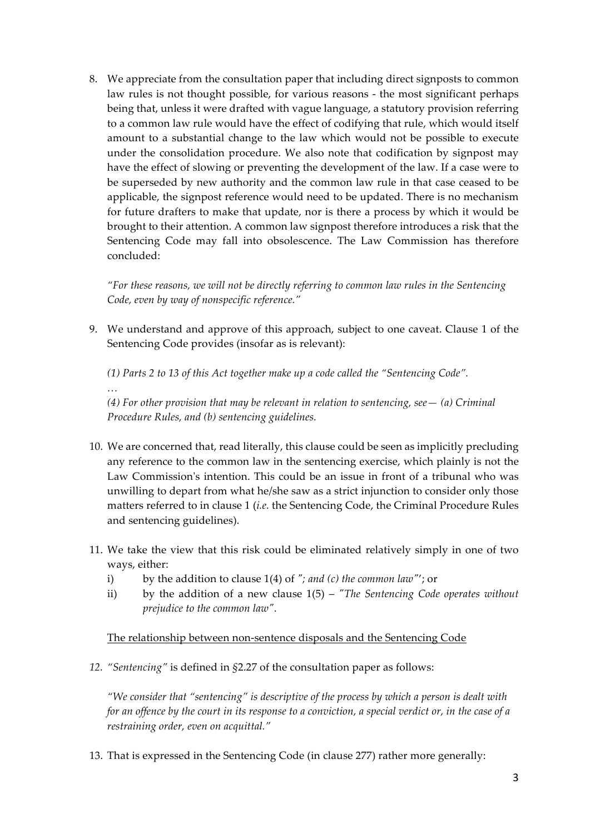8. We appreciate from the consultation paper that including direct signposts to common law rules is not thought possible, for various reasons - the most significant perhaps being that, unless it were drafted with vague language, a statutory provision referring to a common law rule would have the effect of codifying that rule, which would itself amount to a substantial change to the law which would not be possible to execute under the consolidation procedure. We also note that codification by signpost may have the effect of slowing or preventing the development of the law. If a case were to be superseded by new authority and the common law rule in that case ceased to be applicable, the signpost reference would need to be updated. There is no mechanism for future drafters to make that update, nor is there a process by which it would be brought to their attention. A common law signpost therefore introduces a risk that the Sentencing Code may fall into obsolescence. The Law Commission has therefore concluded:

*"For these reasons, we will not be directly referring to common law rules in the Sentencing Code, even by way of nonspecific reference."*

9. We understand and approve of this approach, subject to one caveat. Clause 1 of the Sentencing Code provides (insofar as is relevant):

*(1) Parts 2 to 13 of this Act together make up a code called the "Sentencing Code".*

*…*

*(4) For other provision that may be relevant in relation to sentencing, see— (a) Criminal Procedure Rules, and (b) sentencing guidelines.*

- 10. We are concerned that, read literally, this clause could be seen as implicitly precluding any reference to the common law in the sentencing exercise, which plainly is not the Law Commission's intention. This could be an issue in front of a tribunal who was unwilling to depart from what he/she saw as a strict injunction to consider only those matters referred to in clause 1 (*i.e.* the Sentencing Code, the Criminal Procedure Rules and sentencing guidelines).
- 11. We take the view that this risk could be eliminated relatively simply in one of two ways, either:
	- i) by the addition to clause 1(4) of *"; and (c) the common law"*'; or
	- ii) by the addition of a new clause 1(5) *"The Sentencing Code operates without prejudice to the common law"*.

The relationship between non-sentence disposals and the Sentencing Code

*12. "Sentencing"* is defined in *§*2.27 of the consultation paper as follows:

*"We consider that "sentencing" is descriptive of the process by which a person is dealt with for an offence by the court in its response to a conviction, a special verdict or, in the case of a restraining order, even on acquittal."*

13. That is expressed in the Sentencing Code (in clause 277) rather more generally: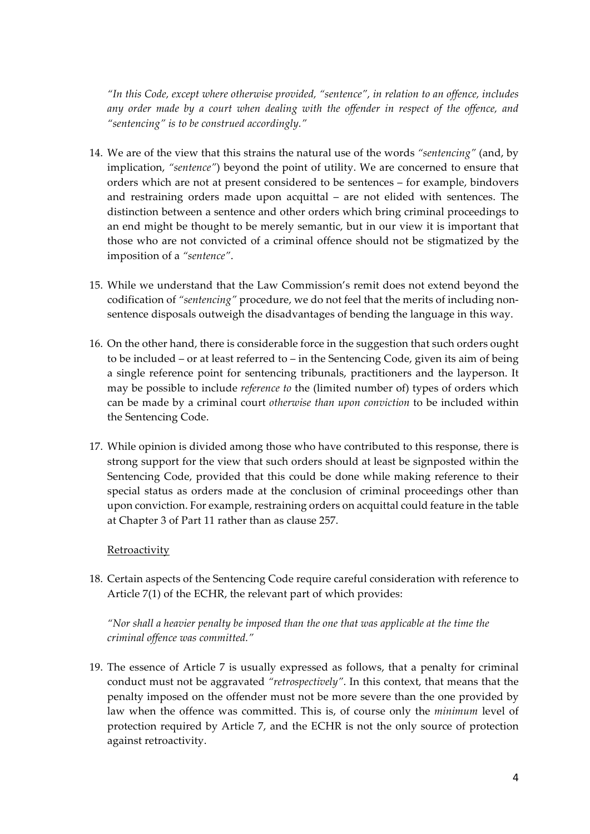*"In this Code, except where otherwise provided, "sentence", in relation to an offence, includes any order made by a court when dealing with the offender in respect of the offence, and "sentencing" is to be construed accordingly."*

- 14. We are of the view that this strains the natural use of the words *"sentencing"* (and, by implication, *"sentence"*) beyond the point of utility. We are concerned to ensure that orders which are not at present considered to be sentences – for example, bindovers and restraining orders made upon acquittal – are not elided with sentences. The distinction between a sentence and other orders which bring criminal proceedings to an end might be thought to be merely semantic, but in our view it is important that those who are not convicted of a criminal offence should not be stigmatized by the imposition of a *"sentence"*.
- 15. While we understand that the Law Commission's remit does not extend beyond the codification of *"sentencing"* procedure, we do not feel that the merits of including nonsentence disposals outweigh the disadvantages of bending the language in this way.
- 16. On the other hand, there is considerable force in the suggestion that such orders ought to be included – or at least referred to – in the Sentencing Code, given its aim of being a single reference point for sentencing tribunals, practitioners and the layperson. It may be possible to include *reference to* the (limited number of) types of orders which can be made by a criminal court *otherwise than upon conviction* to be included within the Sentencing Code.
- 17. While opinion is divided among those who have contributed to this response, there is strong support for the view that such orders should at least be signposted within the Sentencing Code, provided that this could be done while making reference to their special status as orders made at the conclusion of criminal proceedings other than upon conviction. For example, restraining orders on acquittal could feature in the table at Chapter 3 of Part 11 rather than as clause 257.

#### **Retroactivity**

18. Certain aspects of the Sentencing Code require careful consideration with reference to Article 7(1) of the ECHR, the relevant part of which provides:

*"Nor shall a heavier penalty be imposed than the one that was applicable at the time the criminal offence was committed."*

19. The essence of Article 7 is usually expressed as follows, that a penalty for criminal conduct must not be aggravated *"retrospectively"*. In this context, that means that the penalty imposed on the offender must not be more severe than the one provided by law when the offence was committed. This is, of course only the *minimum* level of protection required by Article 7, and the ECHR is not the only source of protection against retroactivity.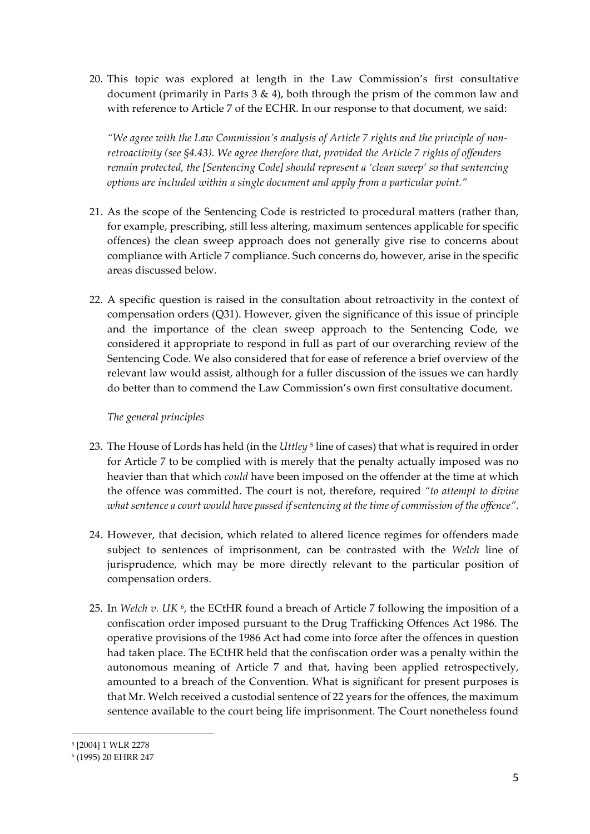20. This topic was explored at length in the Law Commission's first consultative document (primarily in Parts  $3 \& 4$ ), both through the prism of the common law and with reference to Article 7 of the ECHR. In our response to that document, we said:

*"We agree with the Law Commission's analysis of Article 7 rights and the principle of nonretroactivity (see §4.43). We agree therefore that, provided the Article 7 rights of offenders remain protected, the [Sentencing Code] should represent a 'clean sweep' so that sentencing options are included within a single document and apply from a particular point."*

- 21. As the scope of the Sentencing Code is restricted to procedural matters (rather than, for example, prescribing, still less altering, maximum sentences applicable for specific offences) the clean sweep approach does not generally give rise to concerns about compliance with Article 7 compliance. Such concerns do, however, arise in the specific areas discussed below.
- 22. A specific question is raised in the consultation about retroactivity in the context of compensation orders (Q31). However, given the significance of this issue of principle and the importance of the clean sweep approach to the Sentencing Code, we considered it appropriate to respond in full as part of our overarching review of the Sentencing Code. We also considered that for ease of reference a brief overview of the relevant law would assist, although for a fuller discussion of the issues we can hardly do better than to commend the Law Commission's own first consultative document.

#### *The general principles*

- 23. The House of Lords has held (in the *Uttley* <sup>5</sup> line of cases) that what is required in order for Article 7 to be complied with is merely that the penalty actually imposed was no heavier than that which *could* have been imposed on the offender at the time at which the offence was committed. The court is not, therefore, required *"to attempt to divine what sentence a court would have passed if sentencing at the time of commission of the offence"*.
- 24. However, that decision, which related to altered licence regimes for offenders made subject to sentences of imprisonment, can be contrasted with the *Welch* line of jurisprudence, which may be more directly relevant to the particular position of compensation orders.
- 25. In *Welch v. UK* 6, the ECtHR found a breach of Article 7 following the imposition of a confiscation order imposed pursuant to the Drug Trafficking Offences Act 1986. The operative provisions of the 1986 Act had come into force after the offences in question had taken place. The ECtHR held that the confiscation order was a penalty within the autonomous meaning of Article 7 and that, having been applied retrospectively, amounted to a breach of the Convention. What is significant for present purposes is that Mr. Welch received a custodial sentence of 22 years for the offences, the maximum sentence available to the court being life imprisonment. The Court nonetheless found

<sup>5</sup> [2004] 1 WLR 2278

<sup>6</sup> (1995) 20 EHRR 247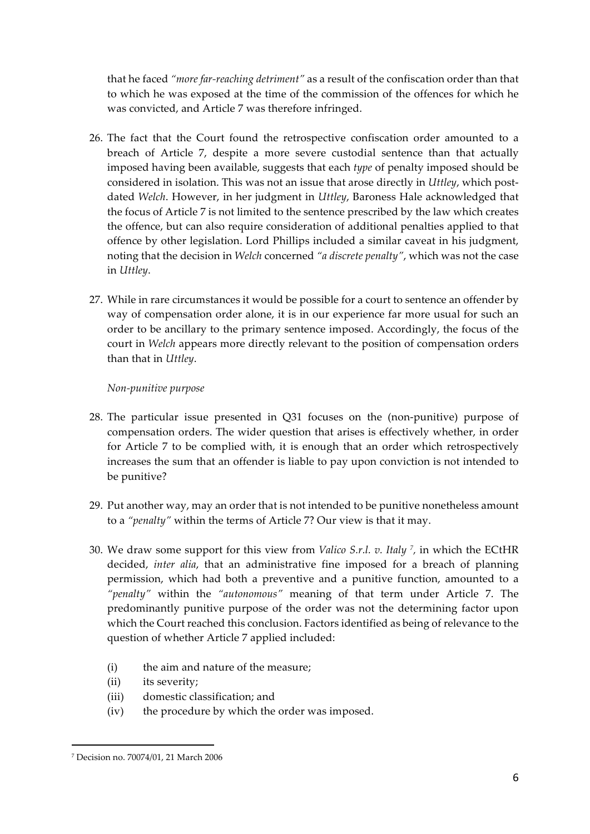that he faced *"more far-reaching detriment"* as a result of the confiscation order than that to which he was exposed at the time of the commission of the offences for which he was convicted, and Article 7 was therefore infringed.

- 26. The fact that the Court found the retrospective confiscation order amounted to a breach of Article 7, despite a more severe custodial sentence than that actually imposed having been available, suggests that each *type* of penalty imposed should be considered in isolation. This was not an issue that arose directly in *Uttley*, which postdated *Welch*. However, in her judgment in *Uttley*, Baroness Hale acknowledged that the focus of Article 7 is not limited to the sentence prescribed by the law which creates the offence, but can also require consideration of additional penalties applied to that offence by other legislation. Lord Phillips included a similar caveat in his judgment, noting that the decision in *Welch* concerned *"a discrete penalty"*, which was not the case in *Uttley*.
- 27. While in rare circumstances it would be possible for a court to sentence an offender by way of compensation order alone, it is in our experience far more usual for such an order to be ancillary to the primary sentence imposed. Accordingly, the focus of the court in *Welch* appears more directly relevant to the position of compensation orders than that in *Uttley*.

### *Non-punitive purpose*

- 28. The particular issue presented in Q31 focuses on the (non-punitive) purpose of compensation orders. The wider question that arises is effectively whether, in order for Article 7 to be complied with, it is enough that an order which retrospectively increases the sum that an offender is liable to pay upon conviction is not intended to be punitive?
- 29. Put another way, may an order that is not intended to be punitive nonetheless amount to a *"penalty"* within the terms of Article 7? Our view is that it may.
- 30. We draw some support for this view from *Valico S.r.l. v. Italy 7,* in which the ECtHR decided, *inter alia*, that an administrative fine imposed for a breach of planning permission, which had both a preventive and a punitive function, amounted to a *"penalty"* within the *"autonomous"* meaning of that term under Article 7. The predominantly punitive purpose of the order was not the determining factor upon which the Court reached this conclusion. Factors identified as being of relevance to the question of whether Article 7 applied included:
	- (i) the aim and nature of the measure;
	- (ii) its severity;
	- (iii) domestic classification; and
	- (iv) the procedure by which the order was imposed.

 <sup>7</sup> Decision no. 70074/01, 21 March 2006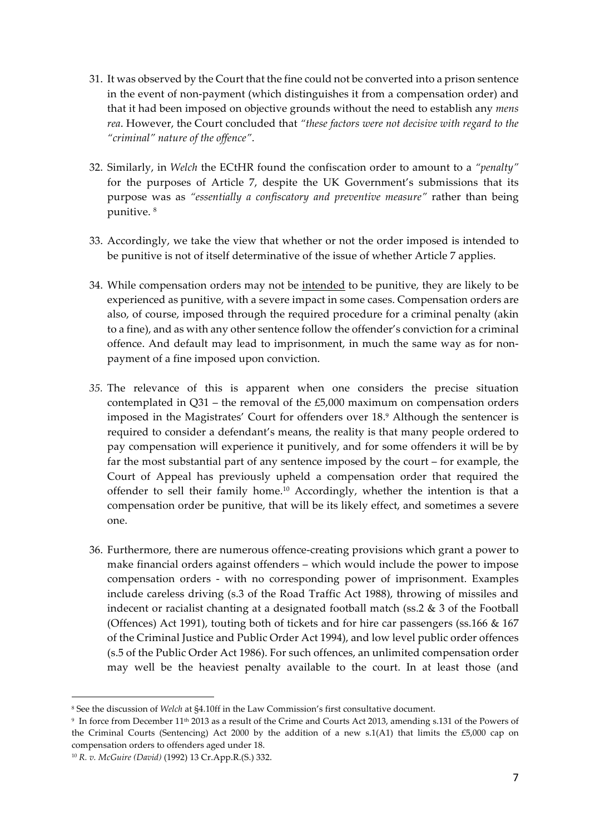- 31. It was observed by the Court that the fine could not be converted into a prison sentence in the event of non-payment (which distinguishes it from a compensation order) and that it had been imposed on objective grounds without the need to establish any *mens rea*. However, the Court concluded that *"these factors were not decisive with regard to the "criminal" nature of the offence"*.
- 32. Similarly, in *Welch* the ECtHR found the confiscation order to amount to a *"penalty"* for the purposes of Article 7, despite the UK Government's submissions that its purpose was as *"essentially a confiscatory and preventive measure"* rather than being punitive. <sup>8</sup>
- 33. Accordingly, we take the view that whether or not the order imposed is intended to be punitive is not of itself determinative of the issue of whether Article 7 applies.
- 34. While compensation orders may not be intended to be punitive, they are likely to be experienced as punitive, with a severe impact in some cases. Compensation orders are also, of course, imposed through the required procedure for a criminal penalty (akin to a fine), and as with any other sentence follow the offender's conviction for a criminal offence. And default may lead to imprisonment, in much the same way as for nonpayment of a fine imposed upon conviction.
- *35.* The relevance of this is apparent when one considers the precise situation contemplated in Q31 – the removal of the £5,000 maximum on compensation orders imposed in the Magistrates' Court for offenders over 18.9 Although the sentencer is required to consider a defendant's means, the reality is that many people ordered to pay compensation will experience it punitively, and for some offenders it will be by far the most substantial part of any sentence imposed by the court – for example, the Court of Appeal has previously upheld a compensation order that required the offender to sell their family home.10 Accordingly, whether the intention is that a compensation order be punitive, that will be its likely effect, and sometimes a severe one.
- 36. Furthermore, there are numerous offence-creating provisions which grant a power to make financial orders against offenders – which would include the power to impose compensation orders - with no corresponding power of imprisonment. Examples include careless driving (s.3 of the Road Traffic Act 1988), throwing of missiles and indecent or racialist chanting at a designated football match (ss.2 & 3 of the Football (Offences) Act 1991), touting both of tickets and for hire car passengers (ss.166 & 167 of the Criminal Justice and Public Order Act 1994), and low level public order offences (s.5 of the Public Order Act 1986). For such offences, an unlimited compensation order may well be the heaviest penalty available to the court. In at least those (and

<sup>8</sup> See the discussion of *Welch* at §4.10ff in the Law Commission's first consultative document.

<sup>9</sup> In force from December 11th 2013 as a result of the Crime and Courts Act 2013, amending s.131 of the Powers of the Criminal Courts (Sentencing) Act 2000 by the addition of a new  $s.1(A1)$  that limits the £5,000 cap on compensation orders to offenders aged under 18.

<sup>10</sup> *R. v. McGuire (David)* (1992) 13 Cr.App.R.(S.) 332.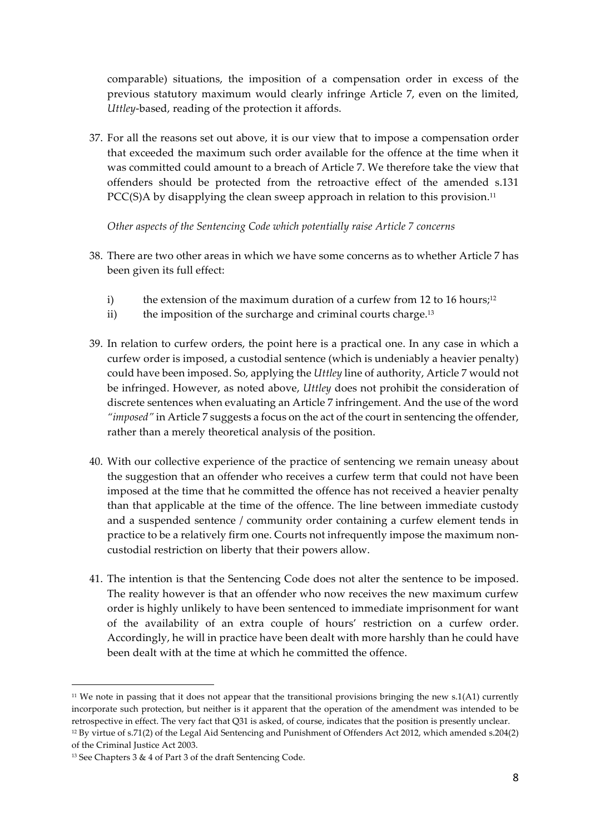comparable) situations, the imposition of a compensation order in excess of the previous statutory maximum would clearly infringe Article 7, even on the limited, *Uttley*-based, reading of the protection it affords.

37. For all the reasons set out above, it is our view that to impose a compensation order that exceeded the maximum such order available for the offence at the time when it was committed could amount to a breach of Article 7. We therefore take the view that offenders should be protected from the retroactive effect of the amended s.131 PCC(S)A by disapplying the clean sweep approach in relation to this provision.<sup>11</sup>

*Other aspects of the Sentencing Code which potentially raise Article 7 concerns*

- 38. There are two other areas in which we have some concerns as to whether Article 7 has been given its full effect:
	- i) the extension of the maximum duration of a curfew from 12 to 16 hours;<sup>12</sup>
	- ii) the imposition of the surcharge and criminal courts charge.<sup>13</sup>
- 39. In relation to curfew orders, the point here is a practical one. In any case in which a curfew order is imposed, a custodial sentence (which is undeniably a heavier penalty) could have been imposed. So, applying the *Uttley* line of authority, Article 7 would not be infringed. However, as noted above, *Uttley* does not prohibit the consideration of discrete sentences when evaluating an Article 7 infringement. And the use of the word *"imposed"* in Article 7 suggests a focus on the act of the court in sentencing the offender, rather than a merely theoretical analysis of the position.
- 40. With our collective experience of the practice of sentencing we remain uneasy about the suggestion that an offender who receives a curfew term that could not have been imposed at the time that he committed the offence has not received a heavier penalty than that applicable at the time of the offence. The line between immediate custody and a suspended sentence / community order containing a curfew element tends in practice to be a relatively firm one. Courts not infrequently impose the maximum noncustodial restriction on liberty that their powers allow.
- 41. The intention is that the Sentencing Code does not alter the sentence to be imposed. The reality however is that an offender who now receives the new maximum curfew order is highly unlikely to have been sentenced to immediate imprisonment for want of the availability of an extra couple of hours' restriction on a curfew order. Accordingly, he will in practice have been dealt with more harshly than he could have been dealt with at the time at which he committed the offence.

 $11$  We note in passing that it does not appear that the transitional provisions bringing the new  $s.1(A1)$  currently incorporate such protection, but neither is it apparent that the operation of the amendment was intended to be retrospective in effect. The very fact that Q31 is asked, of course, indicates that the position is presently unclear.

<sup>12</sup> By virtue of s.71(2) of the Legal Aid Sentencing and Punishment of Offenders Act 2012, which amended s.204(2) of the Criminal Justice Act 2003.

<sup>13</sup> See Chapters 3 & 4 of Part 3 of the draft Sentencing Code.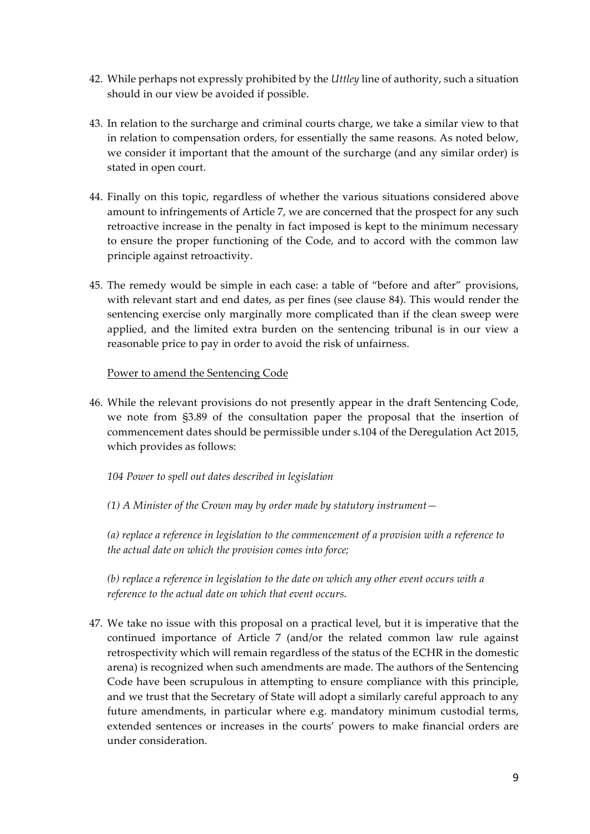- 42. While perhaps not expressly prohibited by the *Uttley* line of authority, such a situation should in our view be avoided if possible.
- 43. In relation to the surcharge and criminal courts charge, we take a similar view to that in relation to compensation orders, for essentially the same reasons. As noted below, we consider it important that the amount of the surcharge (and any similar order) is stated in open court.
- 44. Finally on this topic, regardless of whether the various situations considered above amount to infringements of Article 7, we are concerned that the prospect for any such retroactive increase in the penalty in fact imposed is kept to the minimum necessary to ensure the proper functioning of the Code, and to accord with the common law principle against retroactivity.
- 45. The remedy would be simple in each case: a table of "before and after" provisions, with relevant start and end dates, as per fines (see clause 84). This would render the sentencing exercise only marginally more complicated than if the clean sweep were applied, and the limited extra burden on the sentencing tribunal is in our view a reasonable price to pay in order to avoid the risk of unfairness.

#### Power to amend the Sentencing Code

46. While the relevant provisions do not presently appear in the draft Sentencing Code, we note from §3.89 of the consultation paper the proposal that the insertion of commencement dates should be permissible under s.104 of the Deregulation Act 2015, which provides as follows:

#### *104 Power to spell out dates described in legislation*

*(1) A Minister of the Crown may by order made by statutory instrument—*

*(a) replace a reference in legislation to the commencement of a provision with a reference to the actual date on which the provision comes into force;*

*(b) replace a reference in legislation to the date on which any other event occurs with a reference to the actual date on which that event occurs.*

47. We take no issue with this proposal on a practical level, but it is imperative that the continued importance of Article 7 (and/or the related common law rule against retrospectivity which will remain regardless of the status of the ECHR in the domestic arena) is recognized when such amendments are made. The authors of the Sentencing Code have been scrupulous in attempting to ensure compliance with this principle, and we trust that the Secretary of State will adopt a similarly careful approach to any future amendments, in particular where e.g. mandatory minimum custodial terms, extended sentences or increases in the courts' powers to make financial orders are under consideration.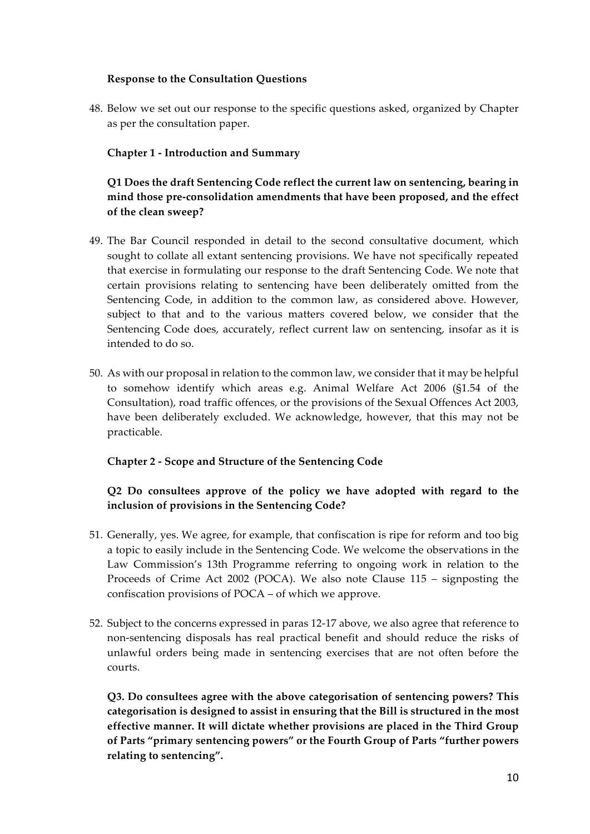### **Response to the Consultation Questions**

48. Below we set out our response to the specific questions asked, organized by Chapter as per the consultation paper.

### **Chapter 1 - Introduction and Summary**

## **Q1 Does the draft Sentencing Code reflect the current law on sentencing, bearing in mind those pre-consolidation amendments that have been proposed, and the effect of the clean sweep?**

- 49. The Bar Council responded in detail to the second consultative document, which sought to collate all extant sentencing provisions. We have not specifically repeated that exercise in formulating our response to the draft Sentencing Code. We note that certain provisions relating to sentencing have been deliberately omitted from the Sentencing Code, in addition to the common law, as considered above. However, subject to that and to the various matters covered below, we consider that the Sentencing Code does, accurately, reflect current law on sentencing, insofar as it is intended to do so.
- 50. As with our proposal in relation to the common law, we consider that it may be helpful to somehow identify which areas e.g. Animal Welfare Act 2006 (§1.54 of the Consultation), road traffic offences, or the provisions of the Sexual Offences Act 2003, have been deliberately excluded. We acknowledge, however, that this may not be practicable.

#### **Chapter 2 - Scope and Structure of the Sentencing Code**

## **Q2 Do consultees approve of the policy we have adopted with regard to the inclusion of provisions in the Sentencing Code?**

- 51. Generally, yes. We agree, for example, that confiscation is ripe for reform and too big a topic to easily include in the Sentencing Code. We welcome the observations in the Law Commission's 13th Programme referring to ongoing work in relation to the Proceeds of Crime Act 2002 (POCA). We also note Clause 115 – signposting the confiscation provisions of POCA – of which we approve.
- 52. Subject to the concerns expressed in paras 12-17 above, we also agree that reference to non-sentencing disposals has real practical benefit and should reduce the risks of unlawful orders being made in sentencing exercises that are not often before the courts.

**Q3. Do consultees agree with the above categorisation of sentencing powers? This categorisation is designed to assist in ensuring that the Bill is structured in the most effective manner. It will dictate whether provisions are placed in the Third Group of Parts "primary sentencing powers" or the Fourth Group of Parts "further powers relating to sentencing".**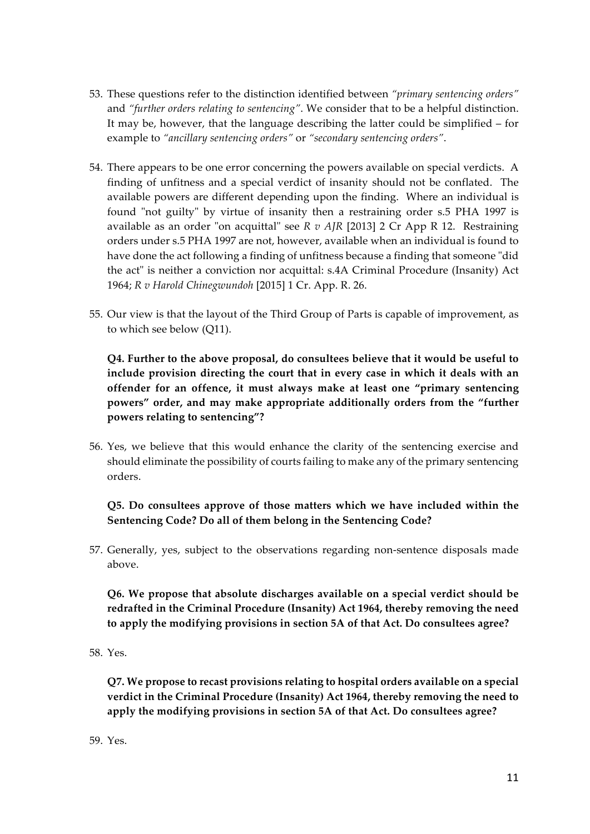- 53. These questions refer to the distinction identified between *"primary sentencing orders"* and *"further orders relating to sentencing"*. We consider that to be a helpful distinction. It may be, however, that the language describing the latter could be simplified – for example to *"ancillary sentencing orders"* or *"secondary sentencing orders"*.
- 54. There appears to be one error concerning the powers available on special verdicts. A finding of unfitness and a special verdict of insanity should not be conflated. The available powers are different depending upon the finding. Where an individual is found "not guilty" by virtue of insanity then a restraining order s.5 PHA 1997 is available as an order "on acquittal" see *R v AJR* [2013] 2 Cr App R 12. Restraining orders under s.5 PHA 1997 are not, however, available when an individual is found to have done the act following a finding of unfitness because a finding that someone "did the act" is neither a conviction nor acquittal: s.4A Criminal Procedure (Insanity) Act 1964; *R v Harold Chinegwundoh* [2015] 1 Cr. App. R. 26.
- 55. Our view is that the layout of the Third Group of Parts is capable of improvement, as to which see below (Q11).

**Q4. Further to the above proposal, do consultees believe that it would be useful to include provision directing the court that in every case in which it deals with an offender for an offence, it must always make at least one "primary sentencing powers" order, and may make appropriate additionally orders from the "further powers relating to sentencing"?**

56. Yes, we believe that this would enhance the clarity of the sentencing exercise and should eliminate the possibility of courts failing to make any of the primary sentencing orders.

**Q5. Do consultees approve of those matters which we have included within the Sentencing Code? Do all of them belong in the Sentencing Code?**

57. Generally, yes, subject to the observations regarding non-sentence disposals made above.

**Q6. We propose that absolute discharges available on a special verdict should be redrafted in the Criminal Procedure (Insanity) Act 1964, thereby removing the need to apply the modifying provisions in section 5A of that Act. Do consultees agree?**

58. Yes.

**Q7. We propose to recast provisions relating to hospital orders available on a special verdict in the Criminal Procedure (Insanity) Act 1964, thereby removing the need to apply the modifying provisions in section 5A of that Act. Do consultees agree?**

59. Yes.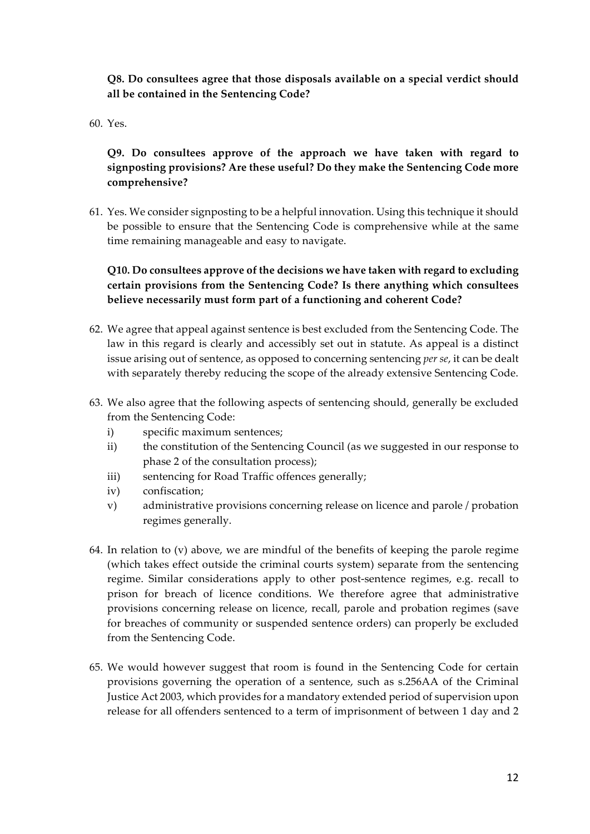**Q8. Do consultees agree that those disposals available on a special verdict should all be contained in the Sentencing Code?**

60. Yes.

## **Q9. Do consultees approve of the approach we have taken with regard to signposting provisions? Are these useful? Do they make the Sentencing Code more comprehensive?**

61. Yes. We consider signposting to be a helpful innovation. Using this technique it should be possible to ensure that the Sentencing Code is comprehensive while at the same time remaining manageable and easy to navigate.

# **Q10. Do consultees approve of the decisions we have taken with regard to excluding certain provisions from the Sentencing Code? Is there anything which consultees believe necessarily must form part of a functioning and coherent Code?**

- 62. We agree that appeal against sentence is best excluded from the Sentencing Code. The law in this regard is clearly and accessibly set out in statute. As appeal is a distinct issue arising out of sentence, as opposed to concerning sentencing *per se*, it can be dealt with separately thereby reducing the scope of the already extensive Sentencing Code.
- 63. We also agree that the following aspects of sentencing should, generally be excluded from the Sentencing Code:
	- i) specific maximum sentences;
	- ii) the constitution of the Sentencing Council (as we suggested in our response to phase 2 of the consultation process);
	- iii) sentencing for Road Traffic offences generally;
	- iv) confiscation;
	- v) administrative provisions concerning release on licence and parole / probation regimes generally.
- 64. In relation to (v) above, we are mindful of the benefits of keeping the parole regime (which takes effect outside the criminal courts system) separate from the sentencing regime. Similar considerations apply to other post-sentence regimes, e.g. recall to prison for breach of licence conditions. We therefore agree that administrative provisions concerning release on licence, recall, parole and probation regimes (save for breaches of community or suspended sentence orders) can properly be excluded from the Sentencing Code.
- 65. We would however suggest that room is found in the Sentencing Code for certain provisions governing the operation of a sentence, such as s.256AA of the Criminal Justice Act 2003, which provides for a mandatory extended period of supervision upon release for all offenders sentenced to a term of imprisonment of between 1 day and 2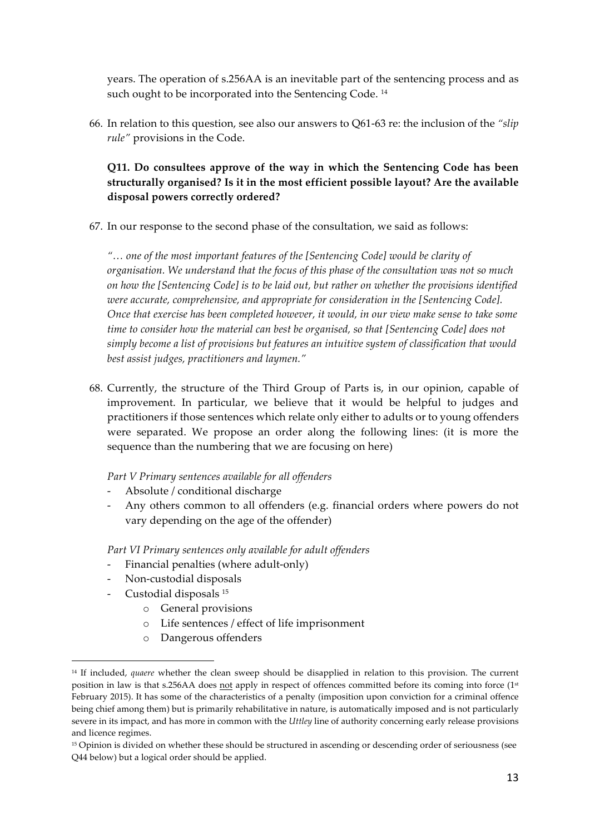years. The operation of s.256AA is an inevitable part of the sentencing process and as such ought to be incorporated into the Sentencing Code.<sup>14</sup>

66. In relation to this question, see also our answers to Q61-63 re: the inclusion of the *"slip rule"* provisions in the Code.

## **Q11. Do consultees approve of the way in which the Sentencing Code has been structurally organised? Is it in the most efficient possible layout? Are the available disposal powers correctly ordered?**

67. In our response to the second phase of the consultation, we said as follows:

*"… one of the most important features of the [Sentencing Code] would be clarity of organisation. We understand that the focus of this phase of the consultation was not so much on how the [Sentencing Code] is to be laid out, but rather on whether the provisions identified were accurate, comprehensive, and appropriate for consideration in the [Sentencing Code]. Once that exercise has been completed however, it would, in our view make sense to take some time to consider how the material can best be organised, so that [Sentencing Code] does not simply become a list of provisions but features an intuitive system of classification that would best assist judges, practitioners and laymen."*

68. Currently, the structure of the Third Group of Parts is, in our opinion, capable of improvement. In particular, we believe that it would be helpful to judges and practitioners if those sentences which relate only either to adults or to young offenders were separated. We propose an order along the following lines: (it is more the sequence than the numbering that we are focusing on here)

#### *Part V Primary sentences available for all offenders*

- Absolute / conditional discharge
- Any others common to all offenders (e.g. financial orders where powers do not vary depending on the age of the offender)

*Part VI Primary sentences only available for adult offenders*

- Financial penalties (where adult-only)
- Non-custodial disposals
- Custodial disposals <sup>15</sup>

- o General provisions
- o Life sentences / effect of life imprisonment
- o Dangerous offenders

<sup>14</sup> If included, *quaere* whether the clean sweep should be disapplied in relation to this provision. The current position in law is that s.256AA does not apply in respect of offences committed before its coming into force (1st February 2015). It has some of the characteristics of a penalty (imposition upon conviction for a criminal offence being chief among them) but is primarily rehabilitative in nature, is automatically imposed and is not particularly severe in its impact, and has more in common with the *Uttley* line of authority concerning early release provisions and licence regimes.

<sup>&</sup>lt;sup>15</sup> Opinion is divided on whether these should be structured in ascending or descending order of seriousness (see Q44 below) but a logical order should be applied.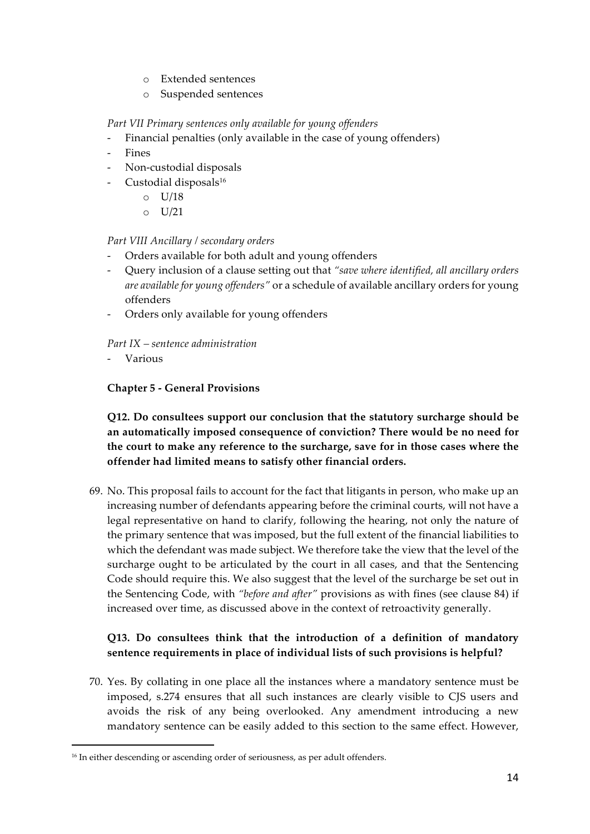- o Extended sentences
- o Suspended sentences

### *Part VII Primary sentences only available for young offenders*

- Financial penalties (only available in the case of young offenders)
- **Fines**
- Non-custodial disposals
- Custodial disposals<sup>16</sup>
	- o U/18
	- o U/21

### *Part VIII Ancillary / secondary orders*

- Orders available for both adult and young offenders
- Query inclusion of a clause setting out that *"save where identified, all ancillary orders are available for young offenders"* or a schedule of available ancillary orders for young offenders
- Orders only available for young offenders

### *Part IX – sentence administration*

**Various** 

 

### **Chapter 5 - General Provisions**

**Q12. Do consultees support our conclusion that the statutory surcharge should be an automatically imposed consequence of conviction? There would be no need for the court to make any reference to the surcharge, save for in those cases where the offender had limited means to satisfy other financial orders.**

69. No. This proposal fails to account for the fact that litigants in person, who make up an increasing number of defendants appearing before the criminal courts, will not have a legal representative on hand to clarify, following the hearing, not only the nature of the primary sentence that was imposed, but the full extent of the financial liabilities to which the defendant was made subject. We therefore take the view that the level of the surcharge ought to be articulated by the court in all cases, and that the Sentencing Code should require this. We also suggest that the level of the surcharge be set out in the Sentencing Code, with *"before and after"* provisions as with fines (see clause 84) if increased over time, as discussed above in the context of retroactivity generally.

## **Q13. Do consultees think that the introduction of a definition of mandatory sentence requirements in place of individual lists of such provisions is helpful?**

70. Yes. By collating in one place all the instances where a mandatory sentence must be imposed, s.274 ensures that all such instances are clearly visible to CJS users and avoids the risk of any being overlooked. Any amendment introducing a new mandatory sentence can be easily added to this section to the same effect. However,

<sup>&</sup>lt;sup>16</sup> In either descending or ascending order of seriousness, as per adult offenders.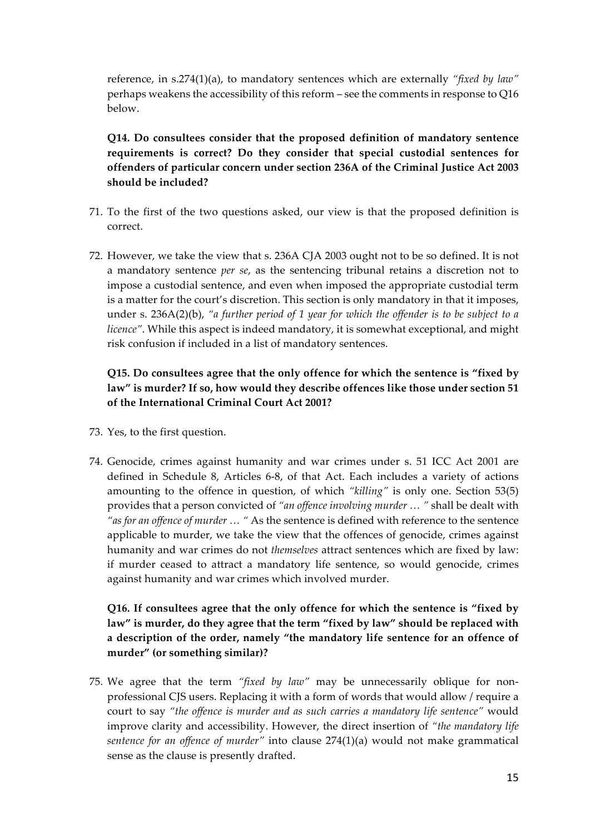reference, in s.274(1)(a), to mandatory sentences which are externally *"fixed by law"* perhaps weakens the accessibility of this reform – see the comments in response to Q16 below.

**Q14. Do consultees consider that the proposed definition of mandatory sentence requirements is correct? Do they consider that special custodial sentences for offenders of particular concern under section 236A of the Criminal Justice Act 2003 should be included?**

- 71. To the first of the two questions asked, our view is that the proposed definition is correct.
- 72. However, we take the view that s. 236A CJA 2003 ought not to be so defined. It is not a mandatory sentence *per se*, as the sentencing tribunal retains a discretion not to impose a custodial sentence, and even when imposed the appropriate custodial term is a matter for the court's discretion. This section is only mandatory in that it imposes, under s. 236A(2)(b), *"a further period of 1 year for which the offender is to be subject to a licence"*. While this aspect is indeed mandatory, it is somewhat exceptional, and might risk confusion if included in a list of mandatory sentences.

## **Q15. Do consultees agree that the only offence for which the sentence is "fixed by law" is murder? If so, how would they describe offences like those under section 51 of the International Criminal Court Act 2001?**

- 73. Yes, to the first question.
- 74. Genocide, crimes against humanity and war crimes under s. 51 ICC Act 2001 are defined in Schedule 8, Articles 6-8, of that Act. Each includes a variety of actions amounting to the offence in question, of which *"killing"* is only one. Section 53(5) provides that a person convicted of *"an offence involving murder … "* shall be dealt with *"as for an offence of murder … "* As the sentence is defined with reference to the sentence applicable to murder, we take the view that the offences of genocide, crimes against humanity and war crimes do not *themselves* attract sentences which are fixed by law: if murder ceased to attract a mandatory life sentence, so would genocide, crimes against humanity and war crimes which involved murder.

## **Q16. If consultees agree that the only offence for which the sentence is "fixed by law" is murder, do they agree that the term "fixed by law" should be replaced with a description of the order, namely "the mandatory life sentence for an offence of murder" (or something similar)?**

75. We agree that the term *"fixed by law"* may be unnecessarily oblique for nonprofessional CJS users. Replacing it with a form of words that would allow / require a court to say *"the offence is murder and as such carries a mandatory life sentence"* would improve clarity and accessibility. However, the direct insertion of *"the mandatory life sentence for an offence of murder"* into clause 274(1)(a) would not make grammatical sense as the clause is presently drafted.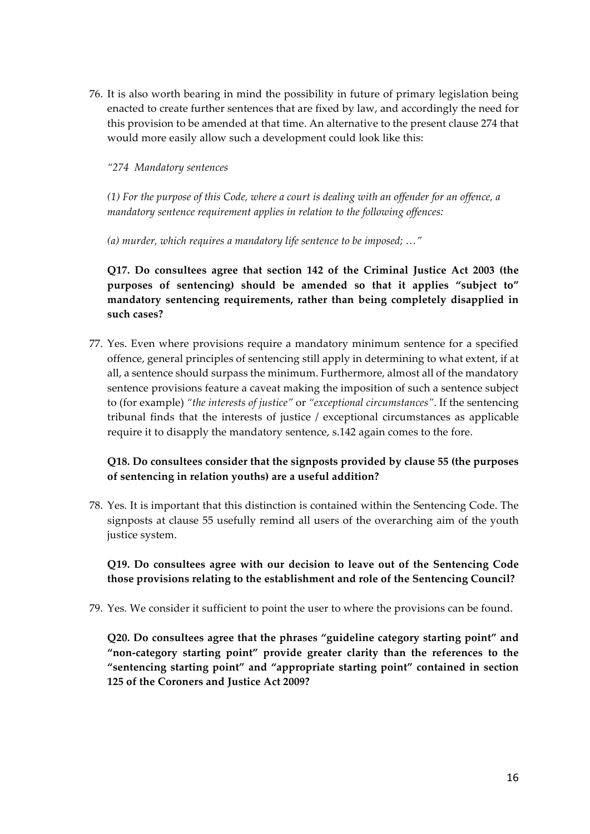76. It is also worth bearing in mind the possibility in future of primary legislation being enacted to create further sentences that are fixed by law, and accordingly the need for this provision to be amended at that time. An alternative to the present clause 274 that would more easily allow such a development could look like this:

*"274 Mandatory sentences*

*(1) For the purpose of this Code, where a court is dealing with an offender for an offence, a mandatory sentence requirement applies in relation to the following offences:*

*(a) murder, which requires a mandatory life sentence to be imposed; …"*

**Q17. Do consultees agree that section 142 of the Criminal Justice Act 2003 (the purposes of sentencing) should be amended so that it applies "subject to" mandatory sentencing requirements, rather than being completely disapplied in such cases?**

77. Yes. Even where provisions require a mandatory minimum sentence for a specified offence, general principles of sentencing still apply in determining to what extent, if at all, a sentence should surpass the minimum. Furthermore, almost all of the mandatory sentence provisions feature a caveat making the imposition of such a sentence subject to (for example) *"the interests of justice"* or *"exceptional circumstances"*. If the sentencing tribunal finds that the interests of justice / exceptional circumstances as applicable require it to disapply the mandatory sentence, s.142 again comes to the fore.

## **Q18. Do consultees consider that the signposts provided by clause 55 (the purposes of sentencing in relation youths) are a useful addition?**

78. Yes. It is important that this distinction is contained within the Sentencing Code. The signposts at clause 55 usefully remind all users of the overarching aim of the youth justice system.

**Q19. Do consultees agree with our decision to leave out of the Sentencing Code those provisions relating to the establishment and role of the Sentencing Council?**

79. Yes. We consider it sufficient to point the user to where the provisions can be found.

**Q20. Do consultees agree that the phrases "guideline category starting point" and "non-category starting point" provide greater clarity than the references to the "sentencing starting point" and "appropriate starting point" contained in section 125 of the Coroners and Justice Act 2009?**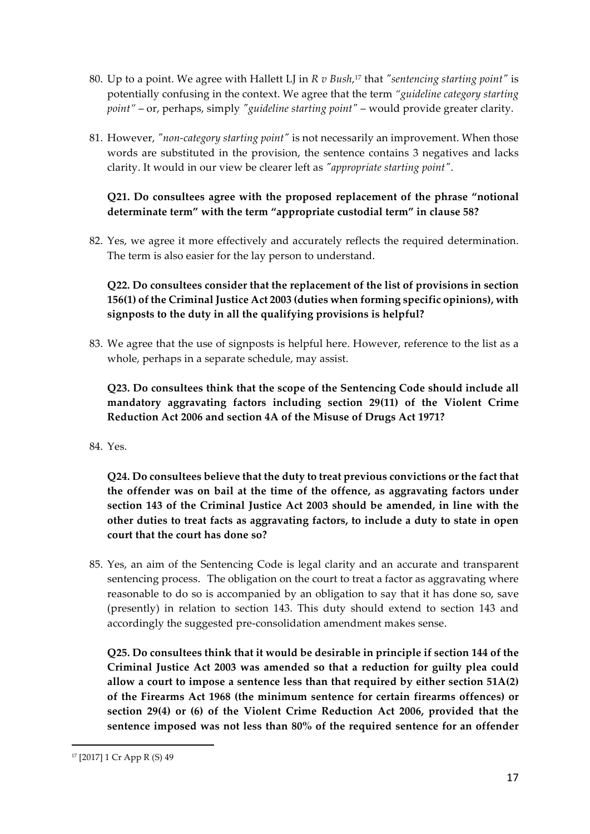- 80. Up to a point. We agree with Hallett LJ in *R v Bush*, <sup>17</sup> that *"sentencing starting point"* is potentially confusing in the context. We agree that the term *"guideline category starting point"* – or, perhaps, simply *"guideline starting point"* – would provide greater clarity.
- 81. However, *"non-category starting point"* is not necessarily an improvement. When those words are substituted in the provision, the sentence contains 3 negatives and lacks clarity. It would in our view be clearer left as *"appropriate starting point"*.

## **Q21. Do consultees agree with the proposed replacement of the phrase "notional determinate term" with the term "appropriate custodial term" in clause 58?**

82. Yes, we agree it more effectively and accurately reflects the required determination. The term is also easier for the lay person to understand.

**Q22. Do consultees consider that the replacement of the list of provisions in section 156(1) of the Criminal Justice Act 2003 (duties when forming specific opinions), with signposts to the duty in all the qualifying provisions is helpful?**

83. We agree that the use of signposts is helpful here. However, reference to the list as a whole, perhaps in a separate schedule, may assist.

**Q23. Do consultees think that the scope of the Sentencing Code should include all mandatory aggravating factors including section 29(11) of the Violent Crime Reduction Act 2006 and section 4A of the Misuse of Drugs Act 1971?**

84. Yes.

**Q24. Do consultees believe that the duty to treat previous convictions or the fact that the offender was on bail at the time of the offence, as aggravating factors under section 143 of the Criminal Justice Act 2003 should be amended, in line with the other duties to treat facts as aggravating factors, to include a duty to state in open court that the court has done so?**

85. Yes, an aim of the Sentencing Code is legal clarity and an accurate and transparent sentencing process. The obligation on the court to treat a factor as aggravating where reasonable to do so is accompanied by an obligation to say that it has done so, save (presently) in relation to section 143. This duty should extend to section 143 and accordingly the suggested pre-consolidation amendment makes sense.

**Q25. Do consultees think that it would be desirable in principle if section 144 of the Criminal Justice Act 2003 was amended so that a reduction for guilty plea could allow a court to impose a sentence less than that required by either section 51A(2) of the Firearms Act 1968 (the minimum sentence for certain firearms offences) or section 29(4) or (6) of the Violent Crime Reduction Act 2006, provided that the sentence imposed was not less than 80% of the required sentence for an offender** 

<sup>17</sup> [2017] 1 Cr App R (S) 49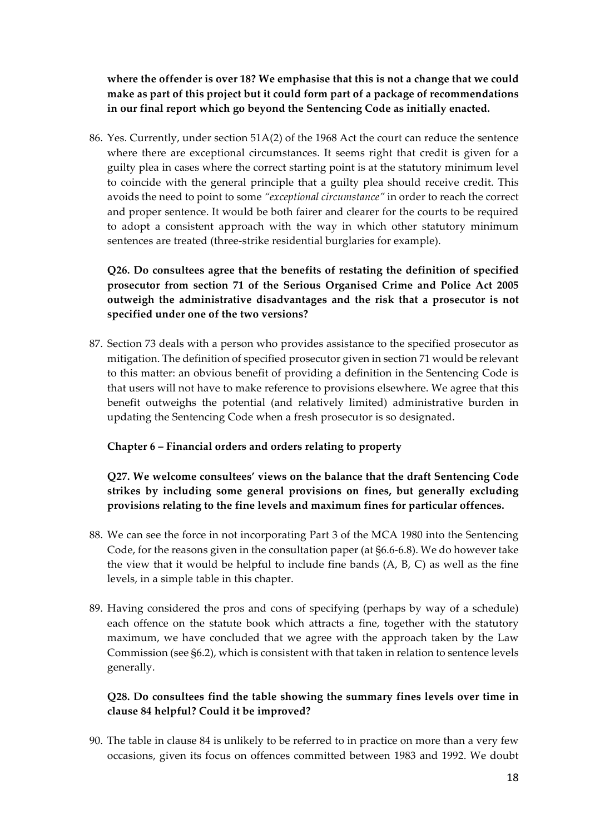**where the offender is over 18? We emphasise that this is not a change that we could make as part of this project but it could form part of a package of recommendations in our final report which go beyond the Sentencing Code as initially enacted.**

86. Yes. Currently, under section 51A(2) of the 1968 Act the court can reduce the sentence where there are exceptional circumstances. It seems right that credit is given for a guilty plea in cases where the correct starting point is at the statutory minimum level to coincide with the general principle that a guilty plea should receive credit. This avoids the need to point to some *"exceptional circumstance"* in order to reach the correct and proper sentence. It would be both fairer and clearer for the courts to be required to adopt a consistent approach with the way in which other statutory minimum sentences are treated (three-strike residential burglaries for example).

**Q26. Do consultees agree that the benefits of restating the definition of specified prosecutor from section 71 of the Serious Organised Crime and Police Act 2005 outweigh the administrative disadvantages and the risk that a prosecutor is not specified under one of the two versions?**

87. Section 73 deals with a person who provides assistance to the specified prosecutor as mitigation. The definition of specified prosecutor given in section 71 would be relevant to this matter: an obvious benefit of providing a definition in the Sentencing Code is that users will not have to make reference to provisions elsewhere. We agree that this benefit outweighs the potential (and relatively limited) administrative burden in updating the Sentencing Code when a fresh prosecutor is so designated.

#### **Chapter 6 – Financial orders and orders relating to property**

**Q27. We welcome consultees' views on the balance that the draft Sentencing Code strikes by including some general provisions on fines, but generally excluding provisions relating to the fine levels and maximum fines for particular offences.**

- 88. We can see the force in not incorporating Part 3 of the MCA 1980 into the Sentencing Code, for the reasons given in the consultation paper (at §6.6-6.8). We do however take the view that it would be helpful to include fine bands (A, B, C) as well as the fine levels, in a simple table in this chapter.
- 89. Having considered the pros and cons of specifying (perhaps by way of a schedule) each offence on the statute book which attracts a fine, together with the statutory maximum, we have concluded that we agree with the approach taken by the Law Commission (see §6.2), which is consistent with that taken in relation to sentence levels generally.

## **Q28. Do consultees find the table showing the summary fines levels over time in clause 84 helpful? Could it be improved?**

90. The table in clause 84 is unlikely to be referred to in practice on more than a very few occasions, given its focus on offences committed between 1983 and 1992. We doubt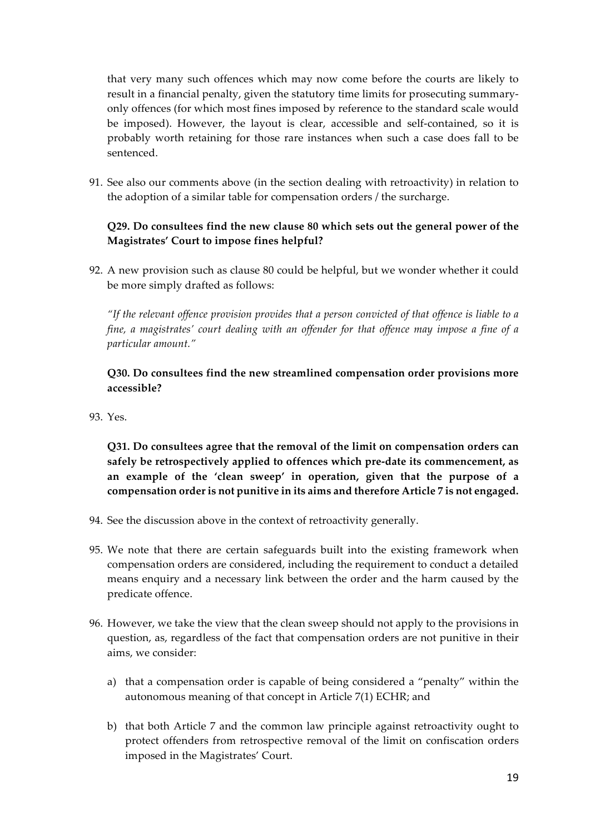that very many such offences which may now come before the courts are likely to result in a financial penalty, given the statutory time limits for prosecuting summaryonly offences (for which most fines imposed by reference to the standard scale would be imposed). However, the layout is clear, accessible and self-contained, so it is probably worth retaining for those rare instances when such a case does fall to be sentenced.

91. See also our comments above (in the section dealing with retroactivity) in relation to the adoption of a similar table for compensation orders / the surcharge.

### **Q29. Do consultees find the new clause 80 which sets out the general power of the Magistrates' Court to impose fines helpful?**

92. A new provision such as clause 80 could be helpful, but we wonder whether it could be more simply drafted as follows:

*"If the relevant offence provision provides that a person convicted of that offence is liable to a fine, a magistrates' court dealing with an offender for that offence may impose a fine of a particular amount."*

### **Q30. Do consultees find the new streamlined compensation order provisions more accessible?**

93. Yes.

**Q31. Do consultees agree that the removal of the limit on compensation orders can safely be retrospectively applied to offences which pre-date its commencement, as an example of the 'clean sweep' in operation, given that the purpose of a compensation order is not punitive in its aims and therefore Article 7 is not engaged.**

- 94. See the discussion above in the context of retroactivity generally.
- 95. We note that there are certain safeguards built into the existing framework when compensation orders are considered, including the requirement to conduct a detailed means enquiry and a necessary link between the order and the harm caused by the predicate offence.
- 96. However, we take the view that the clean sweep should not apply to the provisions in question, as, regardless of the fact that compensation orders are not punitive in their aims, we consider:
	- a) that a compensation order is capable of being considered a "penalty" within the autonomous meaning of that concept in Article 7(1) ECHR; and
	- b) that both Article 7 and the common law principle against retroactivity ought to protect offenders from retrospective removal of the limit on confiscation orders imposed in the Magistrates' Court.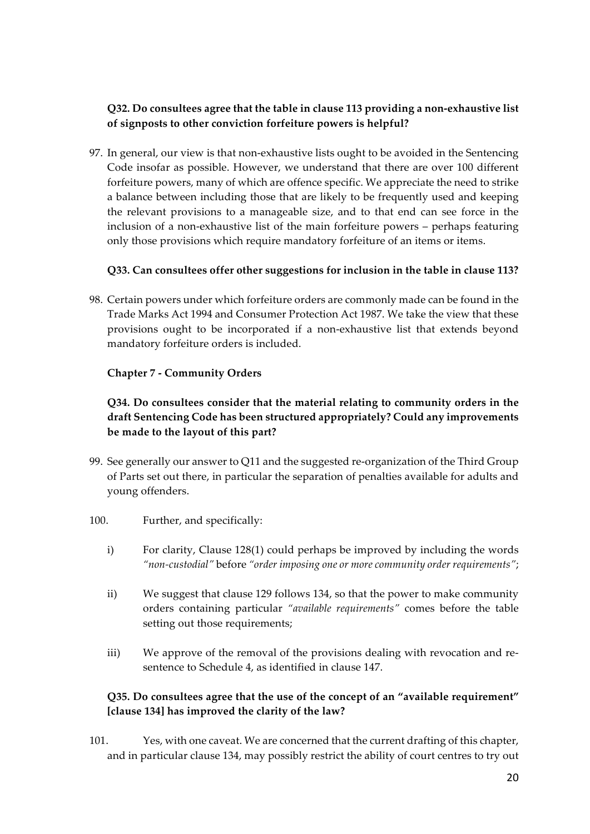## **Q32. Do consultees agree that the table in clause 113 providing a non-exhaustive list of signposts to other conviction forfeiture powers is helpful?**

97. In general, our view is that non-exhaustive lists ought to be avoided in the Sentencing Code insofar as possible. However, we understand that there are over 100 different forfeiture powers, many of which are offence specific. We appreciate the need to strike a balance between including those that are likely to be frequently used and keeping the relevant provisions to a manageable size, and to that end can see force in the inclusion of a non-exhaustive list of the main forfeiture powers – perhaps featuring only those provisions which require mandatory forfeiture of an items or items.

### **Q33. Can consultees offer other suggestions for inclusion in the table in clause 113?**

98. Certain powers under which forfeiture orders are commonly made can be found in the Trade Marks Act 1994 and Consumer Protection Act 1987. We take the view that these provisions ought to be incorporated if a non-exhaustive list that extends beyond mandatory forfeiture orders is included.

#### **Chapter 7 - Community Orders**

# **Q34. Do consultees consider that the material relating to community orders in the draft Sentencing Code has been structured appropriately? Could any improvements be made to the layout of this part?**

- 99. See generally our answer to Q11 and the suggested re-organization of the Third Group of Parts set out there, in particular the separation of penalties available for adults and young offenders.
- 100. Further, and specifically:
	- i) For clarity, Clause 128(1) could perhaps be improved by including the words *"non-custodial"* before *"order imposing one or more community order requirements"*;
	- ii) We suggest that clause 129 follows 134, so that the power to make community orders containing particular *"available requirements"* comes before the table setting out those requirements;
	- iii) We approve of the removal of the provisions dealing with revocation and resentence to Schedule 4, as identified in clause 147.

## **Q35. Do consultees agree that the use of the concept of an "available requirement" [clause 134] has improved the clarity of the law?**

101. Yes, with one caveat. We are concerned that the current drafting of this chapter, and in particular clause 134, may possibly restrict the ability of court centres to try out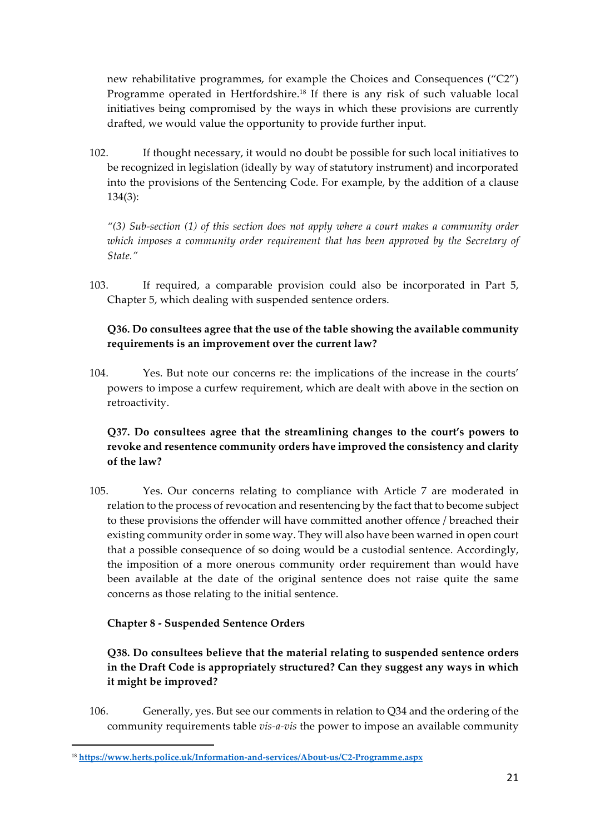new rehabilitative programmes, for example the Choices and Consequences ("C2") Programme operated in Hertfordshire.<sup>18</sup> If there is any risk of such valuable local initiatives being compromised by the ways in which these provisions are currently drafted, we would value the opportunity to provide further input.

102. If thought necessary, it would no doubt be possible for such local initiatives to be recognized in legislation (ideally by way of statutory instrument) and incorporated into the provisions of the Sentencing Code. For example, by the addition of a clause 134(3):

*"(3) Sub-section (1) of this section does not apply where a court makes a community order which imposes a community order requirement that has been approved by the Secretary of State."*

103. If required, a comparable provision could also be incorporated in Part 5, Chapter 5, which dealing with suspended sentence orders.

## **Q36. Do consultees agree that the use of the table showing the available community requirements is an improvement over the current law?**

104. Yes. But note our concerns re: the implications of the increase in the courts' powers to impose a curfew requirement, which are dealt with above in the section on retroactivity.

## **Q37. Do consultees agree that the streamlining changes to the court's powers to revoke and resentence community orders have improved the consistency and clarity of the law?**

105. Yes. Our concerns relating to compliance with Article 7 are moderated in relation to the process of revocation and resentencing by the fact that to become subject to these provisions the offender will have committed another offence / breached their existing community order in some way. They will also have been warned in open court that a possible consequence of so doing would be a custodial sentence. Accordingly, the imposition of a more onerous community order requirement than would have been available at the date of the original sentence does not raise quite the same concerns as those relating to the initial sentence.

## **Chapter 8 - Suspended Sentence Orders**

 

**Q38. Do consultees believe that the material relating to suspended sentence orders in the Draft Code is appropriately structured? Can they suggest any ways in which it might be improved?**

106. Generally, yes. But see our comments in relation to Q34 and the ordering of the community requirements table *vis-a-vis* the power to impose an available community

<sup>18</sup> **https://www.herts.police.uk/Information-and-services/About-us/C2-Programme.aspx**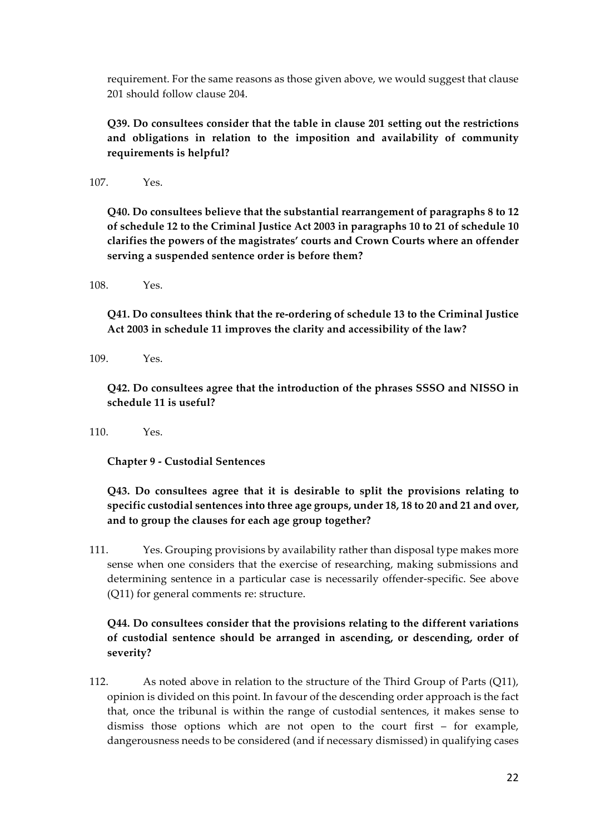requirement. For the same reasons as those given above, we would suggest that clause 201 should follow clause 204.

**Q39. Do consultees consider that the table in clause 201 setting out the restrictions and obligations in relation to the imposition and availability of community requirements is helpful?**

107. Yes.

**Q40. Do consultees believe that the substantial rearrangement of paragraphs 8 to 12 of schedule 12 to the Criminal Justice Act 2003 in paragraphs 10 to 21 of schedule 10 clarifies the powers of the magistrates' courts and Crown Courts where an offender serving a suspended sentence order is before them?**

108. Yes.

**Q41. Do consultees think that the re-ordering of schedule 13 to the Criminal Justice Act 2003 in schedule 11 improves the clarity and accessibility of the law?**

109. Yes.

**Q42. Do consultees agree that the introduction of the phrases SSSO and NISSO in schedule 11 is useful?**

110. Yes.

**Chapter 9 - Custodial Sentences**

**Q43. Do consultees agree that it is desirable to split the provisions relating to specific custodial sentences into three age groups, under 18, 18 to 20 and 21 and over, and to group the clauses for each age group together?**

111. Yes. Grouping provisions by availability rather than disposal type makes more sense when one considers that the exercise of researching, making submissions and determining sentence in a particular case is necessarily offender-specific. See above (Q11) for general comments re: structure.

## **Q44. Do consultees consider that the provisions relating to the different variations of custodial sentence should be arranged in ascending, or descending, order of severity?**

112. As noted above in relation to the structure of the Third Group of Parts (Q11), opinion is divided on this point. In favour of the descending order approach is the fact that, once the tribunal is within the range of custodial sentences, it makes sense to dismiss those options which are not open to the court first – for example, dangerousness needs to be considered (and if necessary dismissed) in qualifying cases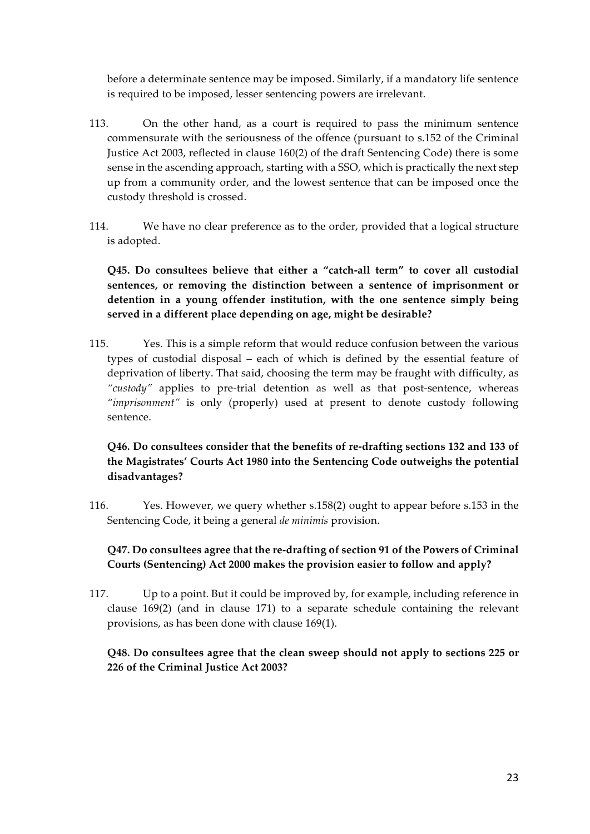before a determinate sentence may be imposed. Similarly, if a mandatory life sentence is required to be imposed, lesser sentencing powers are irrelevant.

- 113. On the other hand, as a court is required to pass the minimum sentence commensurate with the seriousness of the offence (pursuant to s.152 of the Criminal Justice Act 2003, reflected in clause 160(2) of the draft Sentencing Code) there is some sense in the ascending approach, starting with a SSO, which is practically the next step up from a community order, and the lowest sentence that can be imposed once the custody threshold is crossed.
- 114. We have no clear preference as to the order, provided that a logical structure is adopted.

**Q45. Do consultees believe that either a "catch-all term" to cover all custodial sentences, or removing the distinction between a sentence of imprisonment or detention in a young offender institution, with the one sentence simply being served in a different place depending on age, might be desirable?**

115. Yes. This is a simple reform that would reduce confusion between the various types of custodial disposal – each of which is defined by the essential feature of deprivation of liberty. That said, choosing the term may be fraught with difficulty, as *"custody"* applies to pre-trial detention as well as that post-sentence, whereas *"imprisonment"* is only (properly) used at present to denote custody following sentence.

# **Q46. Do consultees consider that the benefits of re-drafting sections 132 and 133 of the Magistrates' Courts Act 1980 into the Sentencing Code outweighs the potential disadvantages?**

116. Yes. However, we query whether s.158(2) ought to appear before s.153 in the Sentencing Code, it being a general *de minimis* provision.

## **Q47. Do consultees agree that the re-drafting of section 91 of the Powers of Criminal Courts (Sentencing) Act 2000 makes the provision easier to follow and apply?**

117. Up to a point. But it could be improved by, for example, including reference in clause 169(2) (and in clause 171) to a separate schedule containing the relevant provisions, as has been done with clause 169(1).

## **Q48. Do consultees agree that the clean sweep should not apply to sections 225 or 226 of the Criminal Justice Act 2003?**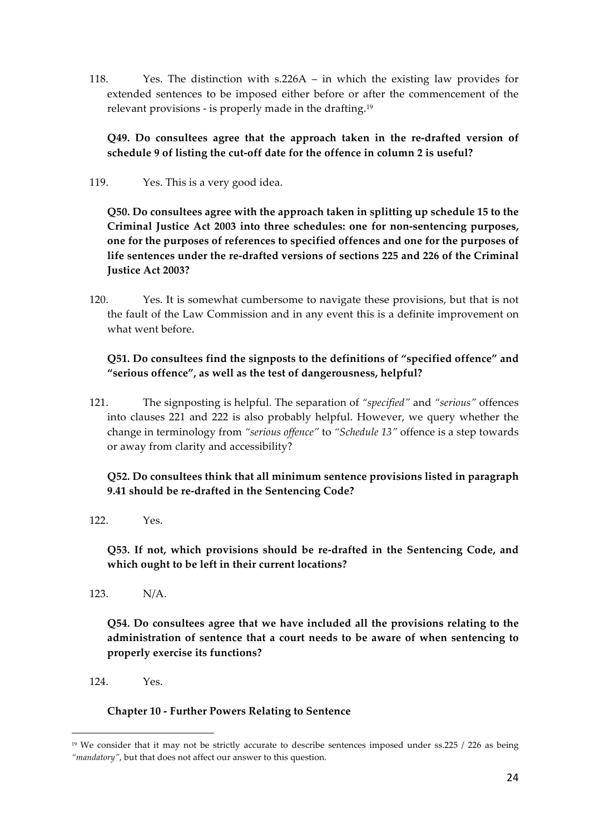118. Yes. The distinction with s.226A – in which the existing law provides for extended sentences to be imposed either before or after the commencement of the relevant provisions - is properly made in the drafting. 19

**Q49. Do consultees agree that the approach taken in the re-drafted version of schedule 9 of listing the cut-off date for the offence in column 2 is useful?**

119. Yes. This is a very good idea.

**Q50. Do consultees agree with the approach taken in splitting up schedule 15 to the Criminal Justice Act 2003 into three schedules: one for non-sentencing purposes, one for the purposes of references to specified offences and one for the purposes of life sentences under the re-drafted versions of sections 225 and 226 of the Criminal Justice Act 2003?**

120. Yes. It is somewhat cumbersome to navigate these provisions, but that is not the fault of the Law Commission and in any event this is a definite improvement on what went before.

## **Q51. Do consultees find the signposts to the definitions of "specified offence" and "serious offence", as well as the test of dangerousness, helpful?**

121. The signposting is helpful. The separation of *"specified"* and *"serious"* offences into clauses 221 and 222 is also probably helpful. However, we query whether the change in terminology from *"serious offence"* to *"Schedule 13"* offence is a step towards or away from clarity and accessibility?

## **Q52. Do consultees think that all minimum sentence provisions listed in paragraph 9.41 should be re-drafted in the Sentencing Code?**

122. Yes.

**Q53. If not, which provisions should be re-drafted in the Sentencing Code, and which ought to be left in their current locations?**

123. N/A.

**Q54. Do consultees agree that we have included all the provisions relating to the administration of sentence that a court needs to be aware of when sentencing to properly exercise its functions?**

124. Yes.

 

#### **Chapter 10 - Further Powers Relating to Sentence**

<sup>19</sup> We consider that it may not be strictly accurate to describe sentences imposed under ss.225 / 226 as being *"mandatory"*, but that does not affect our answer to this question.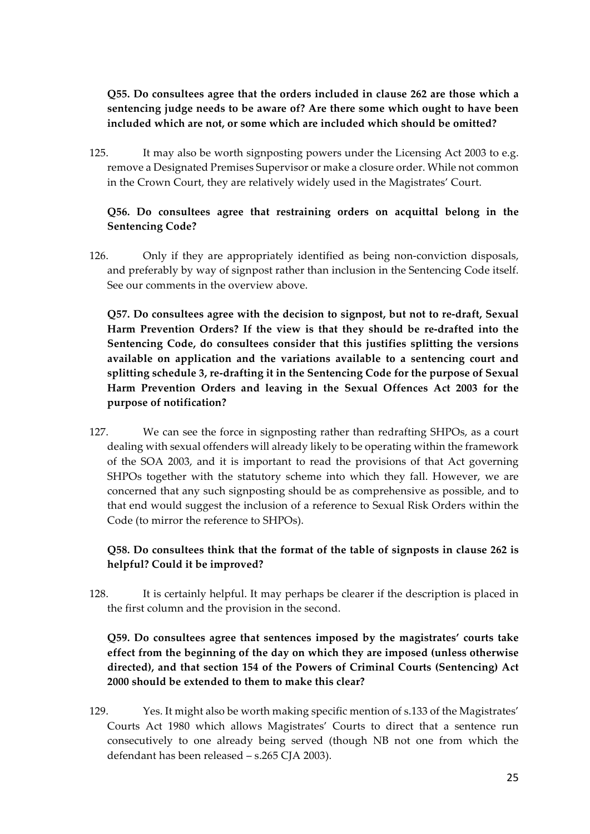**Q55. Do consultees agree that the orders included in clause 262 are those which a sentencing judge needs to be aware of? Are there some which ought to have been included which are not, or some which are included which should be omitted?**

125. It may also be worth signposting powers under the Licensing Act 2003 to e.g. remove a Designated Premises Supervisor or make a closure order. While not common in the Crown Court, they are relatively widely used in the Magistrates' Court.

## **Q56. Do consultees agree that restraining orders on acquittal belong in the Sentencing Code?**

126. Only if they are appropriately identified as being non-conviction disposals, and preferably by way of signpost rather than inclusion in the Sentencing Code itself. See our comments in the overview above.

**Q57. Do consultees agree with the decision to signpost, but not to re-draft, Sexual Harm Prevention Orders? If the view is that they should be re-drafted into the Sentencing Code, do consultees consider that this justifies splitting the versions available on application and the variations available to a sentencing court and splitting schedule 3, re-drafting it in the Sentencing Code for the purpose of Sexual Harm Prevention Orders and leaving in the Sexual Offences Act 2003 for the purpose of notification?**

127. We can see the force in signposting rather than redrafting SHPOs, as a court dealing with sexual offenders will already likely to be operating within the framework of the SOA 2003, and it is important to read the provisions of that Act governing SHPOs together with the statutory scheme into which they fall. However, we are concerned that any such signposting should be as comprehensive as possible, and to that end would suggest the inclusion of a reference to Sexual Risk Orders within the Code (to mirror the reference to SHPOs).

## **Q58. Do consultees think that the format of the table of signposts in clause 262 is helpful? Could it be improved?**

128. It is certainly helpful. It may perhaps be clearer if the description is placed in the first column and the provision in the second.

## **Q59. Do consultees agree that sentences imposed by the magistrates' courts take effect from the beginning of the day on which they are imposed (unless otherwise directed), and that section 154 of the Powers of Criminal Courts (Sentencing) Act 2000 should be extended to them to make this clear?**

129. Yes. It might also be worth making specific mention of s.133 of the Magistrates' Courts Act 1980 which allows Magistrates' Courts to direct that a sentence run consecutively to one already being served (though NB not one from which the defendant has been released – s.265 CJA 2003).